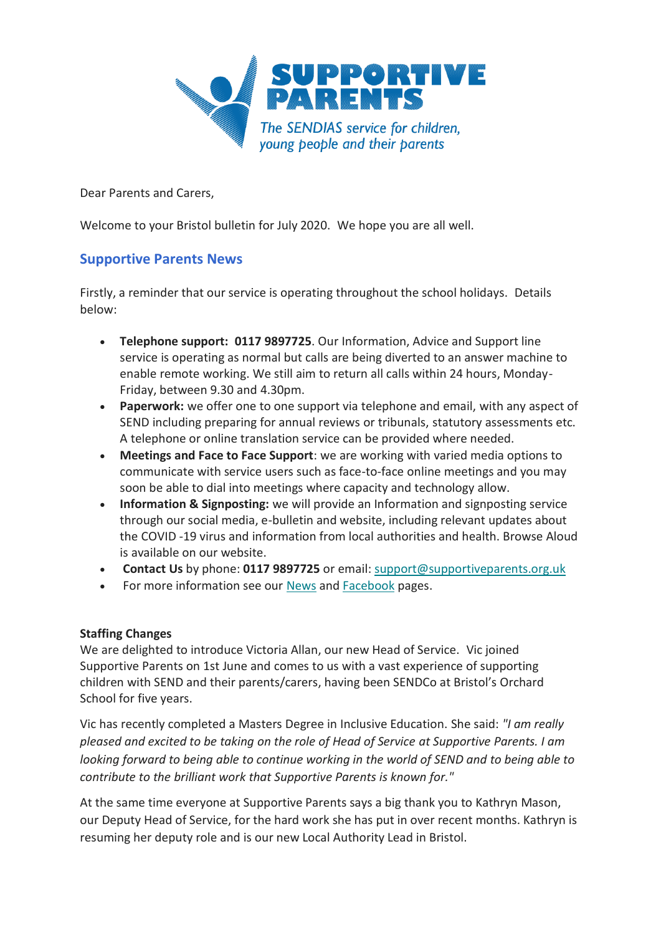

Dear Parents and Carers,

Welcome to your Bristol bulletin for July 2020. We hope you are all well.

## **Supportive Parents News**

Firstly, a reminder that our service is operating throughout the school holidays. Details below:

- **Telephone support: 0117 9897725**. Our Information, Advice and Support line service is operating as normal but calls are being diverted to an answer machine to enable remote working. We still aim to return all calls within 24 hours, Monday-Friday, between 9.30 and 4.30pm.
- **Paperwork:** we offer one to one support via telephone and email, with any aspect of SEND including preparing for annual reviews or tribunals, statutory assessments etc. A telephone or online translation service can be provided where needed.
- **Meetings and Face to Face Support**: we are working with varied media options to communicate with service users such as face-to-face online meetings and you may soon be able to dial into meetings where capacity and technology allow.
- **Information & Signposting:** we will provide an Information and signposting service through our social media, e-bulletin and website, including relevant updates about the COVID -19 virus and information from local authorities and health. Browse Aloud is available on our website.
- **Contact Us** by phone: **0117 9897725** or email: [support@supportiveparents.org.uk](mailto:support@supportiveparents.org.uk)
- For more information see our [News](https://www.supportiveparents.org.uk/latest-news/) and [Facebook](https://www.facebook.com/SupportiveparentsPPS) pages.

### **Staffing Changes**

We are delighted to introduce Victoria Allan, our new Head of Service. Vic joined Supportive Parents on 1st June and comes to us with a vast experience of supporting children with SEND and their parents/carers, having been SENDCo at Bristol's Orchard School for five years.

Vic has recently completed a Masters Degree in Inclusive Education. She said: *"I am really pleased and excited to be taking on the role of Head of Service at Supportive Parents. I am looking forward to being able to continue working in the world of SEND and to being able to contribute to the brilliant work that Supportive Parents is known for."* 

At the same time everyone at Supportive Parents says a big thank you to Kathryn Mason, our Deputy Head of Service, for the hard work she has put in over recent months. Kathryn is resuming her deputy role and is our new Local Authority Lead in Bristol.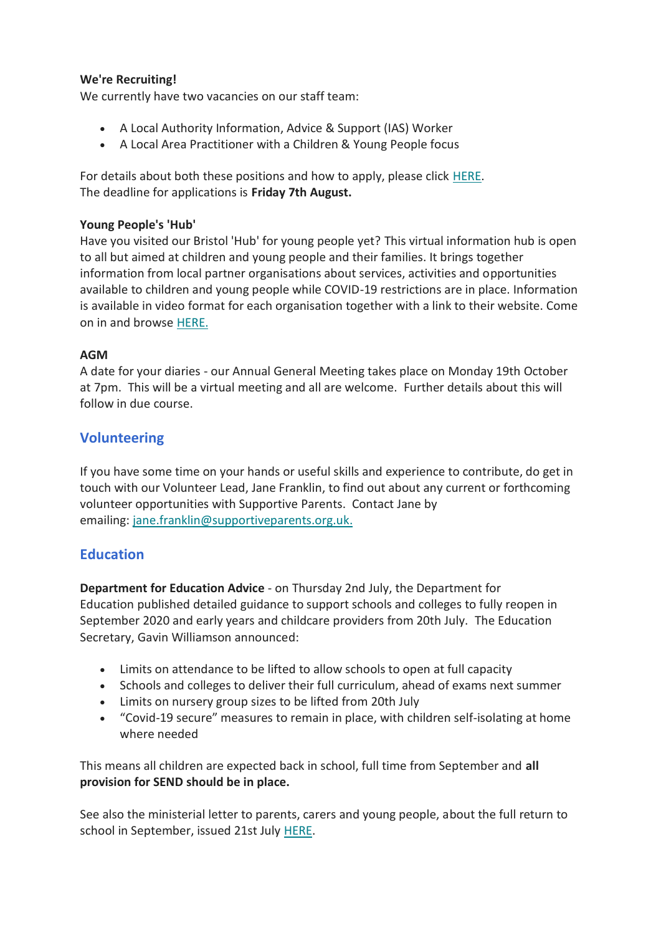### **We're Recruiting!**

We currently have two vacancies on our staff team:

- A Local Authority Information, Advice & Support (IAS) Worker
- A Local Area Practitioner with a Children & Young People focus

For details about both these positions and how to apply, please click [HERE.](https://www.supportiveparents.org.uk/were-recruiting/) The deadline for applications is **Friday 7th August.**

#### **Young People's 'Hub'**

Have you visited our Bristol 'Hub' for young people yet? This virtual information hub is open to all but aimed at children and young people and their families. It brings together information from local partner organisations about services, activities and opportunities available to children and young people while COVID-19 restrictions are in place. Information is available in video format for each organisation together with a link to their website. Come on in and browse [HERE.](https://www.supportiveparents.org.uk/young-people-16-25/virtual-hub/)

#### **AGM**

A date for your diaries - our Annual General Meeting takes place on Monday 19th October at 7pm. This will be a virtual meeting and all are welcome. Further details about this will follow in due course.

## **Volunteering**

If you have some time on your hands or useful skills and experience to contribute, do get in touch with our Volunteer Lead, Jane Franklin, to find out about any current or forthcoming volunteer opportunities with Supportive Parents. Contact Jane by emailing: [jane.franklin@supportiveparents.org.uk](mailto:jane.franklin@supportiveparents.org.uk)[.](mailto:jane.franklin@supportiveparents.org.uk.)

## **Education**

**Department for Education Advice** - on Thursday 2nd July, the Department for Education published detailed guidance to support schools and colleges to fully reopen in September 2020 and early years and childcare providers from 20th July. The Education Secretary, Gavin Williamson announced:

- Limits on attendance to be lifted to allow schools to open at full capacity
- Schools and colleges to deliver their full curriculum, ahead of exams next summer
- Limits on nursery group sizes to be lifted from 20th July
- "Covid-19 secure" measures to remain in place, with children self-isolating at home where needed

This means all children are expected back in school, full time from September and **all provision for SEND should be in place.**

See also the ministerial letter to parents, carers and young people, about the full return to school in September, issued 21st July [HERE.](https://www.supportiveparents.org.uk/wp-content/uploads/2020/07/20200721_DfE_DHSC_joint_ministerial_letter-21st-July-1.pdf)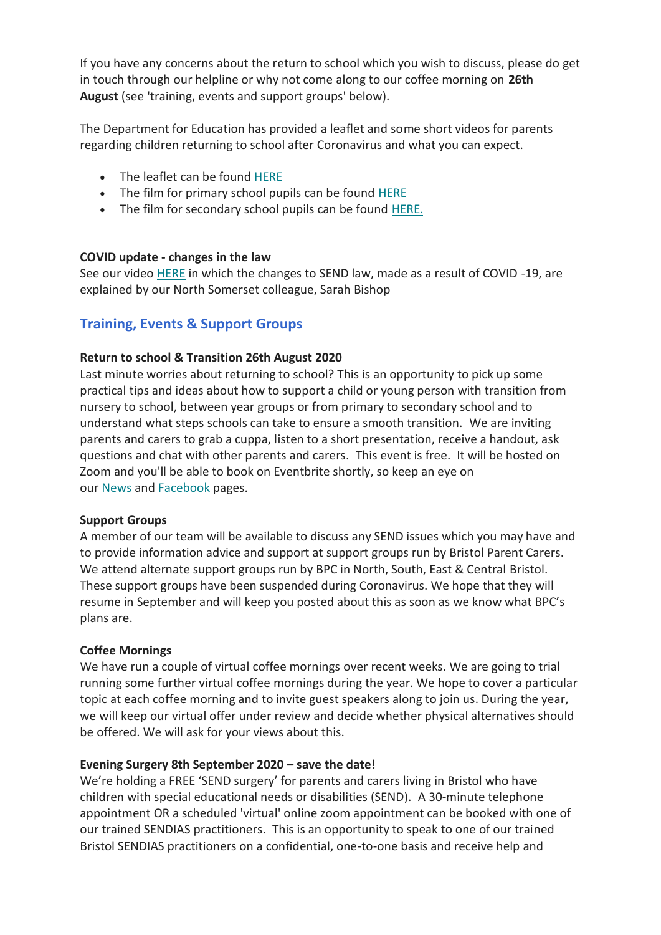If you have any concerns about the return to school which you wish to discuss, please do get in touch through our helpline or why not come along to our coffee morning on **26th August** (see 'training, events and support groups' below).

The Department for Education has provided a leaflet and some short videos for parents regarding children returning to school after Coronavirus and what you can expect.

- The leaflet can be found [HERE](https://coronavirusresources.phe.gov.uk/schools-/resources/leaflets/)
- The film for primary school pupils can be found [HERE](https://www.youtube.com/watch?v=BiefaCf2fvY)
- The film for secondary school pupils can be found [HERE.](https://www.youtube.com/watch?v=foQuuIWonl8)

#### **COVID update - changes in the law**

See our video [HERE](https://www.supportiveparents.org.uk/service-briefing-amendments-to-send-legislation-3-june-2020/) in which the changes to SEND law, made as a result of COVID -19, are explained by our North Somerset colleague, Sarah Bishop

## **Training, Events & Support Groups**

#### **Return to school & Transition 26th August 2020**

Last minute worries about returning to school? This is an opportunity to pick up some practical tips and ideas about how to support a child or young person with transition from nursery to school, between year groups or from primary to secondary school and to understand what steps schools can take to ensure a smooth transition. We are inviting parents and carers to grab a cuppa, listen to a short presentation, receive a handout, ask questions and chat with other parents and carers. This event is free. It will be hosted on Zoom and you'll be able to book on Eventbrite shortly, so keep an eye on our [News](https://www.supportiveparents.org.uk/latest-news/) and [Facebook](https://www.facebook.com/SupportiveparentsPPS) pages.

#### **Support Groups**

A member of our team will be available to discuss any SEND issues which you may have and to provide information advice and support at support groups run by Bristol Parent Carers. We attend alternate support groups run by BPC in North, South, East & Central Bristol. These support groups have been suspended during Coronavirus. We hope that they will resume in September and will keep you posted about this as soon as we know what BPC's plans are.

#### **Coffee Mornings**

We have run a couple of virtual coffee mornings over recent weeks. We are going to trial running some further virtual coffee mornings during the year. We hope to cover a particular topic at each coffee morning and to invite guest speakers along to join us. During the year, we will keep our virtual offer under review and decide whether physical alternatives should be offered. We will ask for your views about this.

#### **Evening Surgery 8th September 2020 – save the date!**

We're holding a FREE 'SEND surgery' for parents and carers living in Bristol who have children with special educational needs or disabilities (SEND). A 30-minute telephone appointment OR a scheduled 'virtual' online zoom appointment can be booked with one of our trained SENDIAS practitioners. This is an opportunity to speak to one of our trained Bristol SENDIAS practitioners on a confidential, one-to-one basis and receive help and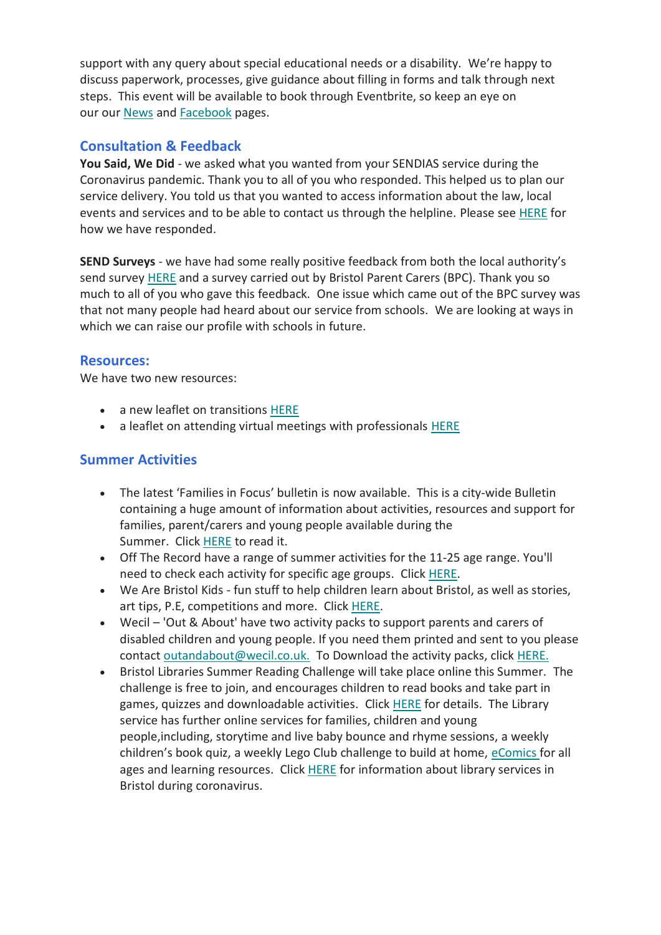support with any query about special educational needs or a disability. We're happy to discuss paperwork, processes, give guidance about filling in forms and talk through next steps. This event will be available to book through Eventbrite, so keep an eye on our our [News](https://www.supportiveparents.org.uk/latest-news/) and [Facebook](https://www.facebook.com/SupportiveparentsPPS) pages.

# **Consultation & Feedback**

**You Said, We Did** - we asked what you wanted from your SENDIAS service during the Coronavirus pandemic. Thank you to all of you who responded. This helped us to plan our service delivery. You told us that you wanted to access information about the law, local events and services and to be able to contact us through the helpline. Please see [HERE](https://www.supportiveparents.org.uk/wp-content/uploads/2020/07/You-said-we-did-PDF.pdf) for how we have responded.

**SEND Surveys** - we have had some really positive feedback from both the local authority's send survey [HERE](https://www.bristol.gov.uk/web/bristol-local-offer/about/send-news) and a survey carried out by Bristol Parent Carers (BPC). Thank you so much to all of you who gave this feedback. One issue which came out of the BPC survey was that not many people had heard about our service from schools. We are looking at ways in which we can raise our profile with schools in future.

## **Resources:**

We have two new resources:

- a new leaflet on transitions [HERE](https://www.supportiveparents.org.uk/wp-content/uploads/2020/07/Transitions-Preparing-for-starting-or-moving-school.pdf)
- a leaflet on attending virtual meetings with professionals [HERE](https://www.supportiveparents.org.uk/wp-content/uploads/2020/05/Preparing-for-a-virtual-or-telephone-meeting.pdf)

# **Summer Activities**

- The latest 'Families in Focus' bulletin is now available. This is a city-wide Bulletin containing a huge amount of information about activities, resources and support for families, parent/carers and young people available during the Summer. Click [HERE](https://www.supportiveparents.org.uk/wp-content/uploads/2020/07/Families-in-Focus-Bulletin-Summer-2020.pdf) to read it.
- Off The Record have a range of summer activities for the 11-25 age range. You'll need to check each activity for specific age groups. Click [HERE.](http://www.otrbristol.org.uk/wp-content/uploads/2018/07/IW-Summer-programme.jpg)
- We Are Bristol Kids fun stuff to help children learn about Bristol, as well as stories, art tips, P.E, competitions and more. Click [HERE.](https://www.wearebristol.co.uk/kids/)
- Wecil 'Out & About' have two activity packs to support parents and carers of disabled children and young people. If you need them printed and sent to you please contact [outandabout@wecil.co.uk.](mailto:outandabout@wecil.co.uk.) To Download the activity packs, click [HERE.](https://www.bristollearningcity.com/resource/out-and-about-family-activity-pack/)
- Bristol Libraries Summer Reading Challenge will take place online this Summer. The challenge is free to join, and encourages children to read books and take part in games, quizzes and downloadable activities. Click [HERE](https://www.bristol.gov.uk/libraries-archives/services-for-children-and-young-people/summer-reading-challenge-2020) for details. The Library service has further online services for families, children and young people,including, storytime and live baby bounce and rhyme sessions, a weekly children's book quiz, a weekly Lego Club challenge to build at home, [eComics](https://www.bristol.gov.uk/libraries-archives/online-newspapers-and-magazines) for all ages and learning resources. Click [HERE](https://www.bristol.gov.uk/libraries-archives/coronavirus-library-information) for information about library services in Bristol during coronavirus.